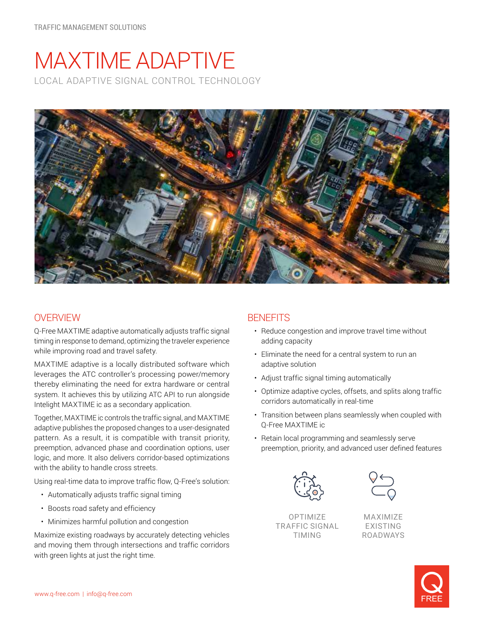# MAXTIME ADAPTIVE LOCAL ADAPTIVE SIGNAL CONTROL TECHNOLOGY



# **OVERVIEW**

Q-Free MAXTIME adaptive automatically adjusts traffic signal timing in response to demand, optimizing the traveler experience while improving road and travel safety.

MAXTIME adaptive is a locally distributed software which leverages the ATC controller's processing power/memory thereby eliminating the need for extra hardware or central system. It achieves this by utilizing ATC API to run alongside Intelight MAXTIME ic as a secondary application.

Together, MAXTIME ic controls the traffic signal, and MAXTIME adaptive publishes the proposed changes to a user-designated pattern. As a result, it is compatible with transit priority, preemption, advanced phase and coordination options, user logic, and more. It also delivers corridor-based optimizations with the ability to handle cross streets.

Using real-time data to improve traffic flow, Q-Free's solution:

- Automatically adjusts traffic signal timing
- Boosts road safety and efficiency
- Minimizes harmful pollution and congestion

Maximize existing roadways by accurately detecting vehicles and moving them through intersections and traffic corridors with green lights at just the right time.

## **BENEFITS**

- Reduce congestion and improve travel time without adding capacity
- Eliminate the need for a central system to run an adaptive solution
- Adjust traffic signal timing automatically
- Optimize adaptive cycles, offsets, and splits along traffic corridors automatically in real-time
- Transition between plans seamlessly when coupled with Q-Free MAXTIME ic
- Retain local programming and seamlessly serve preemption, priority, and advanced user defined features



OPTIMIZE TRAFFIC SIGNAL TIMING



MAXIMIZE EXISTING ROADWAYS